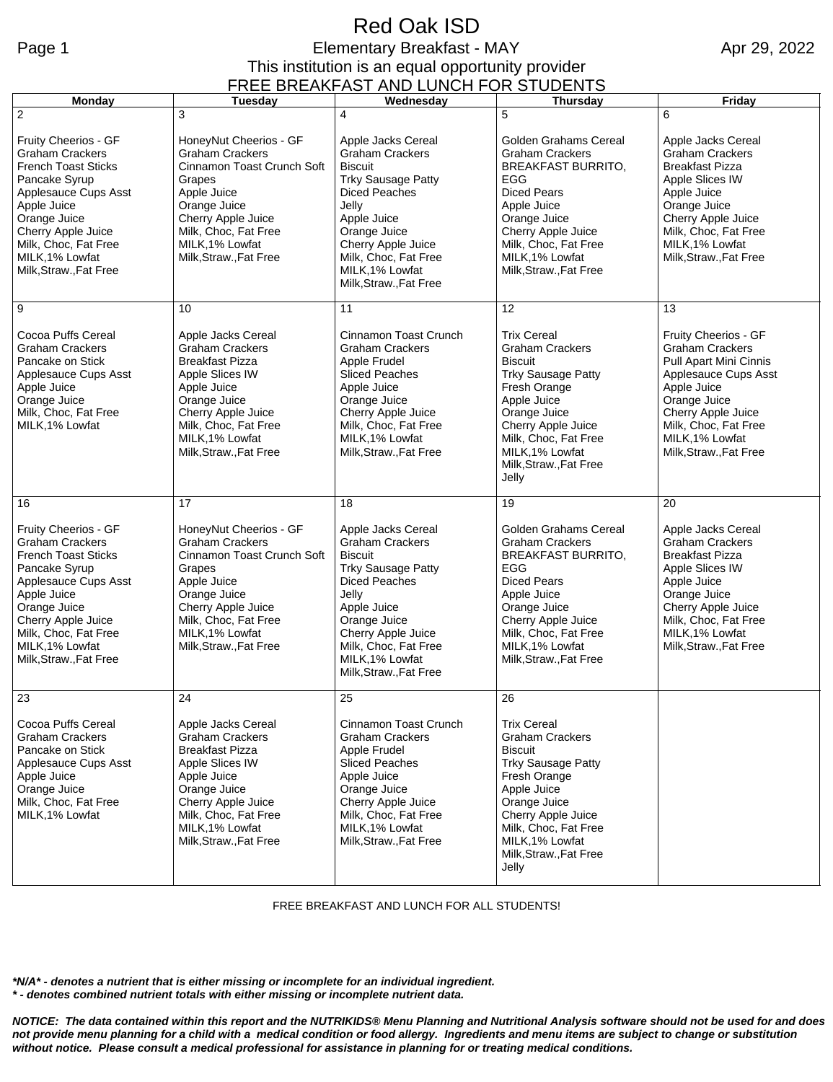## Red Oak ISD Page 1 **Elementary Breakfast - MAY** This institution is an equal opportunity provider

Apr 29, 2022

| FREE BREAKFAST AND LUNCH FOR STUDENTS                                                                                                                                                                                                                             |                                                                                                                                                                                                                           |                                                                                                                                                                                                                                                             |                                                                                                                                                                                                                                                      |                                                                                                                                                                                                                                  |  |  |
|-------------------------------------------------------------------------------------------------------------------------------------------------------------------------------------------------------------------------------------------------------------------|---------------------------------------------------------------------------------------------------------------------------------------------------------------------------------------------------------------------------|-------------------------------------------------------------------------------------------------------------------------------------------------------------------------------------------------------------------------------------------------------------|------------------------------------------------------------------------------------------------------------------------------------------------------------------------------------------------------------------------------------------------------|----------------------------------------------------------------------------------------------------------------------------------------------------------------------------------------------------------------------------------|--|--|
| Monday                                                                                                                                                                                                                                                            | Tuesday                                                                                                                                                                                                                   | Wednesday                                                                                                                                                                                                                                                   | Thursday                                                                                                                                                                                                                                             | Friday                                                                                                                                                                                                                           |  |  |
| $\overline{2}$<br>Fruity Cheerios - GF<br><b>Graham Crackers</b><br><b>French Toast Sticks</b><br>Pancake Syrup<br>Applesauce Cups Asst<br>Apple Juice<br>Orange Juice<br>Cherry Apple Juice<br>Milk, Choc, Fat Free<br>MILK, 1% Lowfat<br>Milk, Straw., Fat Free | 3<br>HoneyNut Cheerios - GF<br><b>Graham Crackers</b><br>Cinnamon Toast Crunch Soft<br>Grapes<br>Apple Juice<br>Orange Juice<br>Cherry Apple Juice<br>Milk, Choc, Fat Free<br>MILK, 1% Lowfat<br>Milk, Straw., Fat Free   | 4<br>Apple Jacks Cereal<br><b>Graham Crackers</b><br><b>Biscuit</b><br><b>Trky Sausage Patty</b><br><b>Diced Peaches</b><br>Jelly<br>Apple Juice<br>Orange Juice<br>Cherry Apple Juice<br>Milk, Choc, Fat Free<br>MILK, 1% Lowfat<br>Milk, Straw., Fat Free | 5<br>Golden Grahams Cereal<br><b>Graham Crackers</b><br><b>BREAKFAST BURRITO,</b><br>EGG<br><b>Diced Pears</b><br>Apple Juice<br>Orange Juice<br>Cherry Apple Juice<br>Milk, Choc, Fat Free<br>MILK, 1% Lowfat<br>Milk, Straw., Fat Free             | 6<br>Apple Jacks Cereal<br><b>Graham Crackers</b><br><b>Breakfast Pizza</b><br>Apple Slices IW<br>Apple Juice<br>Orange Juice<br>Cherry Apple Juice<br>Milk, Choc, Fat Free<br>MILK, 1% Lowfat<br>Milk, Straw., Fat Free         |  |  |
| 9<br>Cocoa Puffs Cereal<br><b>Graham Crackers</b><br>Pancake on Stick<br>Applesauce Cups Asst<br>Apple Juice<br>Orange Juice<br>Milk, Choc, Fat Free<br>MILK, 1% Lowfat                                                                                           | 10<br>Apple Jacks Cereal<br><b>Graham Crackers</b><br><b>Breakfast Pizza</b><br>Apple Slices IW<br>Apple Juice<br>Orange Juice<br>Cherry Apple Juice<br>Milk, Choc, Fat Free<br>MILK, 1% Lowfat<br>Milk, Straw., Fat Free | 11<br>Cinnamon Toast Crunch<br><b>Graham Crackers</b><br>Apple Frudel<br><b>Sliced Peaches</b><br>Apple Juice<br>Orange Juice<br>Cherry Apple Juice<br>Milk, Choc, Fat Free<br>MILK, 1% Lowfat<br>Milk, Straw., Fat Free                                    | 12<br><b>Trix Cereal</b><br><b>Graham Crackers</b><br><b>Biscuit</b><br><b>Trky Sausage Patty</b><br>Fresh Orange<br>Apple Juice<br>Orange Juice<br>Cherry Apple Juice<br>Milk, Choc, Fat Free<br>MILK, 1% Lowfat<br>Milk, Straw., Fat Free<br>Jelly | 13<br>Fruity Cheerios - GF<br><b>Graham Crackers</b><br>Pull Apart Mini Cinnis<br>Applesauce Cups Asst<br>Apple Juice<br>Orange Juice<br>Cherry Apple Juice<br>Milk, Choc, Fat Free<br>MILK, 1% Lowfat<br>Milk, Straw., Fat Free |  |  |
| 16                                                                                                                                                                                                                                                                | 17                                                                                                                                                                                                                        | 18                                                                                                                                                                                                                                                          | 19                                                                                                                                                                                                                                                   | 20                                                                                                                                                                                                                               |  |  |
| Fruity Cheerios - GF<br><b>Graham Crackers</b><br><b>French Toast Sticks</b><br>Pancake Syrup<br>Applesauce Cups Asst<br>Apple Juice<br>Orange Juice<br>Cherry Apple Juice<br>Milk, Choc, Fat Free<br>MILK, 1% Lowfat<br>Milk, Straw., Fat Free                   | HoneyNut Cheerios - GF<br><b>Graham Crackers</b><br>Cinnamon Toast Crunch Soft<br>Grapes<br>Apple Juice<br>Orange Juice<br>Cherry Apple Juice<br>Milk, Choc, Fat Free<br>MILK.1% Lowfat<br>Milk, Straw., Fat Free         | Apple Jacks Cereal<br><b>Graham Crackers</b><br><b>Biscuit</b><br><b>Trky Sausage Patty</b><br><b>Diced Peaches</b><br>Jelly<br>Apple Juice<br>Orange Juice<br>Cherry Apple Juice<br>Milk, Choc, Fat Free<br>MILK, 1% Lowfat<br>Milk, Straw., Fat Free      | Golden Grahams Cereal<br><b>Graham Crackers</b><br><b>BREAKFAST BURRITO,</b><br>EGG<br><b>Diced Pears</b><br>Apple Juice<br>Orange Juice<br>Cherry Apple Juice<br>Milk, Choc, Fat Free<br>MILK, 1% Lowfat<br>Milk, Straw., Fat Free                  | Apple Jacks Cereal<br><b>Graham Crackers</b><br><b>Breakfast Pizza</b><br>Apple Slices IW<br>Apple Juice<br>Orange Juice<br>Cherry Apple Juice<br>Milk, Choc, Fat Free<br>MILK, 1% Lowfat<br>Milk, Straw., Fat Free              |  |  |
| 23                                                                                                                                                                                                                                                                | 24                                                                                                                                                                                                                        | 25                                                                                                                                                                                                                                                          | 26                                                                                                                                                                                                                                                   |                                                                                                                                                                                                                                  |  |  |
| Cocoa Puffs Cereal<br><b>Graham Crackers</b><br>Pancake on Stick<br>Applesauce Cups Asst<br>Apple Juice<br>Orange Juice<br>Milk, Choc, Fat Free<br>MILK, 1% Lowfat                                                                                                | Apple Jacks Cereal<br><b>Graham Crackers</b><br><b>Breakfast Pizza</b><br>Apple Slices IW<br>Apple Juice<br>Orange Juice<br>Cherry Apple Juice<br>Milk, Choc, Fat Free<br>MILK, 1% Lowfat<br>Milk, Straw., Fat Free       | Cinnamon Toast Crunch<br><b>Graham Crackers</b><br>Apple Frudel<br><b>Sliced Peaches</b><br>Apple Juice<br>Orange Juice<br>Cherry Apple Juice<br>Milk, Choc, Fat Free<br>MILK, 1% Lowfat<br>Milk, Straw., Fat Free                                          | <b>Trix Cereal</b><br><b>Graham Crackers</b><br><b>Biscuit</b><br><b>Trky Sausage Patty</b><br>Fresh Orange<br>Apple Juice<br>Orange Juice<br>Cherry Apple Juice<br>Milk, Choc, Fat Free<br>MILK, 1% Lowfat<br>Milk, Straw., Fat Free<br>Jelly       |                                                                                                                                                                                                                                  |  |  |

FREE BREAKFAST AND LUNCH FOR ALL STUDENTS!

*\*N/A\* - denotes a nutrient that is either missing or incomplete for an individual ingredient. \* - denotes combined nutrient totals with either missing or incomplete nutrient data.*

*NOTICE: The data contained within this report and the NUTRIKIDS® Menu Planning and Nutritional Analysis software should not be used for and does not provide menu planning for a child with a medical condition or food allergy. Ingredients and menu items are subject to change or substitution without notice. Please consult a medical professional for assistance in planning for or treating medical conditions.*